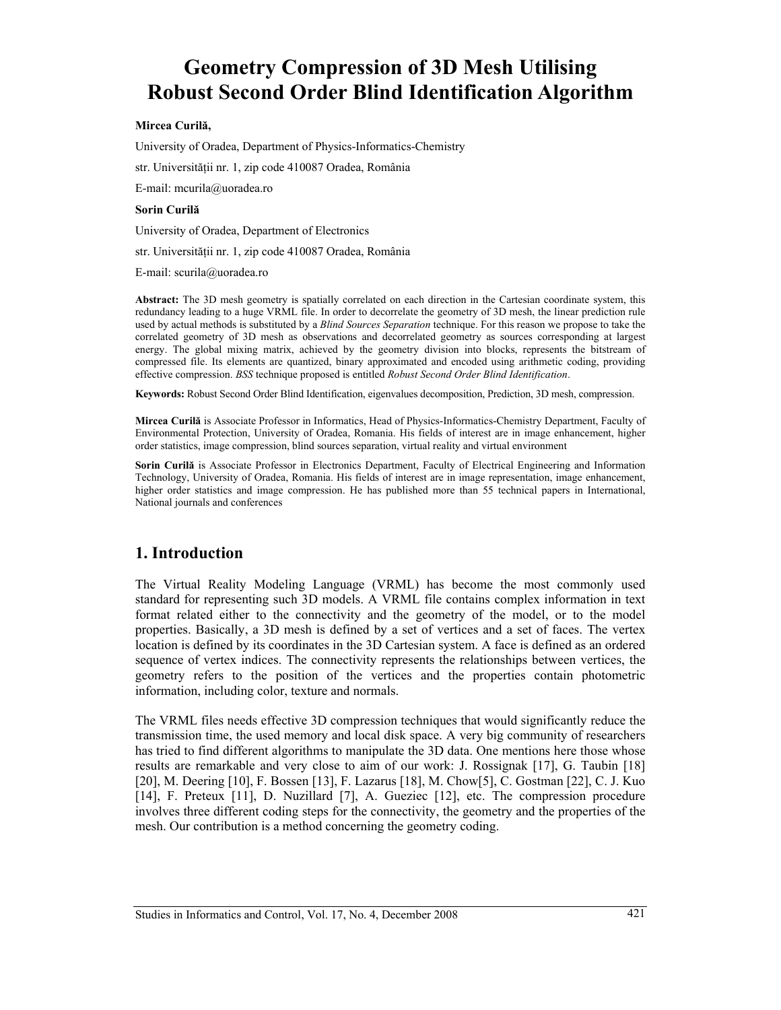# **Geometry Compression of 3D Mesh Utilising Robust Second Order Blind Identification Algorithm**

#### **Mircea Curilă,**

University of Oradea, Department of Physics-Informatics-Chemistry

str. Universităţii nr. 1, zip code 410087 Oradea, România

E-mail: mcurila@uoradea.ro

#### **Sorin Curilă**

University of Oradea, Department of Electronics

str. Universităţii nr. 1, zip code 410087 Oradea, România

E-mail: scurila@uoradea.ro

**Abstract:** The 3D mesh geometry is spatially correlated on each direction in the Cartesian coordinate system, this redundancy leading to a huge VRML file. In order to decorrelate the geometry of 3D mesh, the linear prediction rule used by actual methods is substituted by a *Blind Sources Separation* technique. For this reason we propose to take the correlated geometry of 3D mesh as observations and decorrelated geometry as sources corresponding at largest energy. The global mixing matrix, achieved by the geometry division into blocks, represents the bitstream of compressed file. Its elements are quantized, binary approximated and encoded using arithmetic coding, providing effective compression. *BSS* technique proposed is entitled *Robust Second Order Blind Identification*.

**Keywords:** Robust Second Order Blind Identification, eigenvalues decomposition, Prediction, 3D mesh, compression.

**Mircea Curilă** is Associate Professor in Informatics, Head of Physics-Informatics-Chemistry Department, Faculty of Environmental Protection, University of Oradea, Romania. His fields of interest are in image enhancement, higher order statistics, image compression, blind sources separation, virtual reality and virtual environment

**Sorin Curilă** is Associate Professor in Electronics Department, Faculty of Electrical Engineering and Information Technology, University of Oradea, Romania. His fields of interest are in image representation, image enhancement, higher order statistics and image compression. He has published more than 55 technical papers in International, National journals and conferences

## **1. Introduction**

The Virtual Reality Modeling Language (VRML) has become the most commonly used standard for representing such 3D models. A VRML file contains complex information in text format related either to the connectivity and the geometry of the model, or to the model properties. Basically, a 3D mesh is defined by a set of vertices and a set of faces. The vertex location is defined by its coordinates in the 3D Cartesian system. A face is defined as an ordered sequence of vertex indices. The connectivity represents the relationships between vertices, the geometry refers to the position of the vertices and the properties contain photometric information, including color, texture and normals.

The VRML files needs effective 3D compression techniques that would significantly reduce the transmission time, the used memory and local disk space. A very big community of researchers has tried to find different algorithms to manipulate the 3D data. One mentions here those whose results are remarkable and very close to aim of our work: J. Rossignak [17], G. Taubin [18] [20], M. Deering [10], F. Bossen [13], F. Lazarus [18], M. Chow[5], C. Gostman [22], C. J. Kuo [14], F. Preteux [11], D. Nuzillard [7], A. Gueziec [12], etc. The compression procedure involves three different coding steps for the connectivity, the geometry and the properties of the mesh. Our contribution is a method concerning the geometry coding.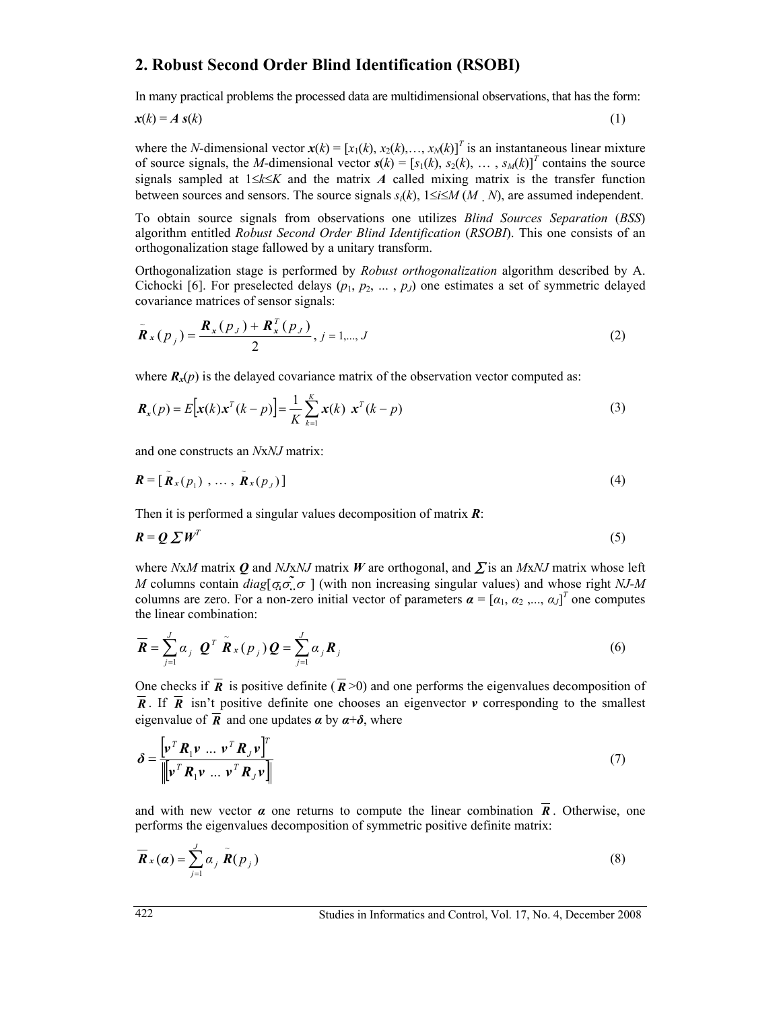## **2. Robust Second Order Blind Identification (RSOBI)**

In many practical problems the processed data are multidimensional observations, that has the form:

$$
x(k) = A \, s(k) \tag{1}
$$

where the *N*-dimensional vector  $\mathbf{x}(k) = [x_1(k), x_2(k), \dots, x_N(k)]^T$  is an instantaneous linear mixture of source signals, the *M*-dimensional vector  $s(k) = [s_1(k), s_2(k), \dots, s_M(k)]^T$  contains the source signals sampled at 1≤*k*≤*K* and the matrix *A* called mixing matrix is the transfer function between sources and sensors. The source signals  $s_i(k)$ ,  $1 \le i \le M(M, N)$ , are assumed independent.

To obtain source signals from observations one utilizes *Blind Sources Separation* (*BSS*) algorithm entitled *Robust Second Order Blind Identification* (*RSOBI*). This one consists of an orthogonalization stage fallowed by a unitary transform.

Orthogonalization stage is performed by *Robust orthogonalization* algorithm described by A. Cichocki [6]. For preselected delays  $(p_1, p_2, \ldots, p_J)$  one estimates a set of symmetric delayed covariance matrices of sensor signals:

$$
\tilde{\bm{R}}_{x}(p_{j}) = \frac{\bm{R}_{x}(p_{J}) + \bm{R}_{x}^{T}(p_{J})}{2}, j = 1,...,J
$$
\n(2)

where  $\mathbf{R}_{x}(p)$  is the delayed covariance matrix of the observation vector computed as:

$$
\mathbf{R}_{x}(p) = E\big[\mathbf{x}(k)\mathbf{x}^{T}(k-p)\big] = \frac{1}{K} \sum_{k=1}^{K} \mathbf{x}(k) \mathbf{x}^{T}(k-p) \tag{3}
$$

and one constructs an *N*x*NJ* matrix:

$$
\mathbf{R} = [\tilde{\mathbf{R}}_x(p_1), \dots, \tilde{\mathbf{R}}_x(p_J)] \tag{4}
$$

Then it is performed a singular values decomposition of matrix *R*:

$$
\boldsymbol{R} = \boldsymbol{Q} \, \boldsymbol{\Sigma} \, \boldsymbol{W}^T \tag{5}
$$

where *N*x*M* matrix *Q* and *NJ*x*NJ* matrix *W* are orthogonal, and ∑ is an *M*x*NJ* matrix whose left *M* columns contain *diag*[ $\sigma_0 \sigma$ ] (with non increasing singular values) and whose right *NJ-M* columns are zero. For a non-zero initial vector of parameters  $\boldsymbol{\alpha} = [\alpha_1, \alpha_2, ..., \alpha_J]^T$  one computes the linear combination:

$$
\overline{\boldsymbol{R}} = \sum_{j=1}^{J} \alpha_j \ \boldsymbol{Q}^T \ \tilde{\boldsymbol{R}}_x(p_j) \boldsymbol{Q} = \sum_{j=1}^{J} \alpha_j \boldsymbol{R}_j
$$
\n(6)

One checks if  $\overline{R}$  is positive definite ( $\overline{R}$  >0) and one performs the eigenvalues decomposition of  $\overline{R}$ . If  $\overline{R}$  isn't positive definite one chooses an eigenvector *v* corresponding to the smallest eigenvalue of  $\overline{R}$  and one updates  $\alpha$  by  $\alpha+\delta$ , where

$$
\delta = \frac{\left[\mathbf{v}^T \mathbf{R}_1 \mathbf{v} \dots \mathbf{v}^T \mathbf{R}_J \mathbf{v}\right]^T}{\left\|\mathbf{v}^T \mathbf{R}_1 \mathbf{v} \dots \mathbf{v}^T \mathbf{R}_J \mathbf{v}\right\|}
$$
(7)

and with new vector  $\alpha$  one returns to compute the linear combination  $\overline{R}$ . Otherwise, one performs the eigenvalues decomposition of symmetric positive definite matrix:

$$
\overline{\boldsymbol{R}}_{x}(\boldsymbol{\alpha}) = \sum_{j=1}^{J} \alpha_{j} \widetilde{\boldsymbol{R}}(p_{j})
$$
\n(8)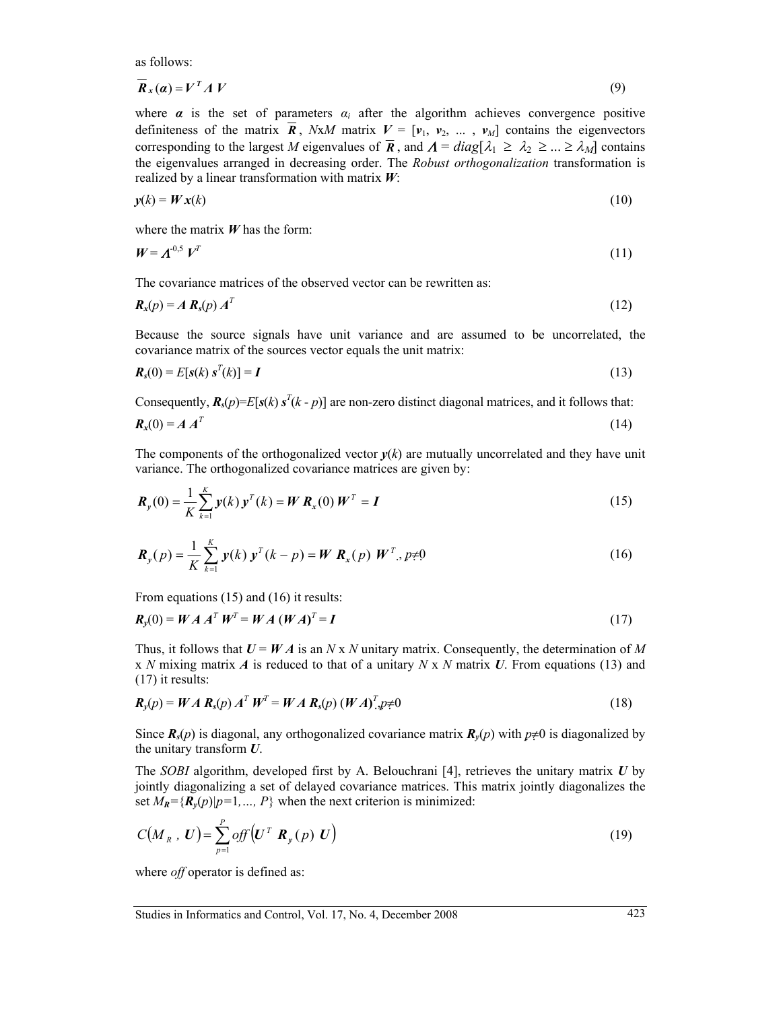as follows:

$$
\overline{\mathbf{R}}_{x}(\mathbf{a}) = \mathbf{V}^{T} \Lambda \mathbf{V} \tag{9}
$$

where  $\alpha$  is the set of parameters  $\alpha_i$  after the algorithm achieves convergence positive definiteness of the matrix  $\vec{R}$ , *NxM* matrix  $V = [\nu_1, \nu_2, ..., \nu_M]$  contains the eigenvectors corresponding to the largest *M* eigenvalues of  $\overline{R}$ , and  $\Lambda = diag[\lambda_1 \geq \lambda_2 \geq ... \geq \lambda_M]$  contains the eigenvalues arranged in decreasing order. The *Robust orthogonalization* transformation is realized by a linear transformation with matrix *W*:

$$
y(k) = W x(k) \tag{10}
$$

where the matrix *W* has the form:

$$
W = \boldsymbol{\Lambda}^{0,5} \, V^T \tag{11}
$$

The covariance matrices of the observed vector can be rewritten as:

$$
\boldsymbol{R}_x(p) = A \boldsymbol{R}_s(p) \boldsymbol{A}^T
$$
 (12)

Because the source signals have unit variance and are assumed to be uncorrelated, the covariance matrix of the sources vector equals the unit matrix:

$$
\boldsymbol{R}_s(0) = E[\boldsymbol{s}(k) \ \boldsymbol{s}^T(k)] = \boldsymbol{I} \tag{13}
$$

Consequently,  $\mathbf{R}_s(p) = E[s(k) \, s^T(k-p)]$  are non-zero distinct diagonal matrices, and it follows that:

$$
\boldsymbol{R}_x(0) = \boldsymbol{A} \boldsymbol{A}^T \tag{14}
$$

The components of the orthogonalized vector  $y(k)$  are mutually uncorrelated and they have unit variance. The orthogonalized covariance matrices are given by:

$$
\boldsymbol{R}_{y}(0) = \frac{1}{K} \sum_{k=1}^{K} y(k) \, \boldsymbol{y}^{T}(k) = \boldsymbol{W} \, \boldsymbol{R}_{x}(0) \, \boldsymbol{W}^{T} = \boldsymbol{I} \tag{15}
$$

$$
\boldsymbol{R}_{y}(p) = \frac{1}{K} \sum_{k=1}^{K} y(k) \; \boldsymbol{y}^{T}(k-p) = \boldsymbol{W} \; \boldsymbol{R}_{x}(p) \; \boldsymbol{W}^{T}, \; p \neq 0 \tag{16}
$$

From equations (15) and (16) it results:

$$
\boldsymbol{R}_{y}(0) = \boldsymbol{W} \boldsymbol{A} \boldsymbol{A}^{T} \boldsymbol{W}^{T} = \boldsymbol{W} \boldsymbol{A} \left( \boldsymbol{W} \boldsymbol{A} \right)^{T} = \boldsymbol{I}
$$
\n(17)

Thus, it follows that  $U = WA$  is an  $N \times N$  unitary matrix. Consequently, the determination of M x *N* mixing matrix *A* is reduced to that of a unitary *N* x *N* matrix *U*. From equations (13) and (17) it results:

$$
R_{y}(p) = WA R_{s}(p) A^{T} W^{T} = WA R_{s}(p) (WA)^{T} p \neq 0
$$
\n(18)

Since  $R_s(p)$  is diagonal, any orthogonalized covariance matrix  $R_v(p)$  with  $p \neq 0$  is diagonalized by the unitary transform *U*.

The *SOBI* algorithm, developed first by A. Belouchrani [4], retrieves the unitary matrix *U* by jointly diagonalizing a set of delayed covariance matrices. This matrix jointly diagonalizes the set  $M_R = {R_v(p)|p=1,..., P}$  when the next criterion is minimized:

$$
C(M_R, U) = \sum_{p=1}^{P} off(U^T \mathbf{R}_y(p) U)
$$
\n(19)

where *off* operator is defined as: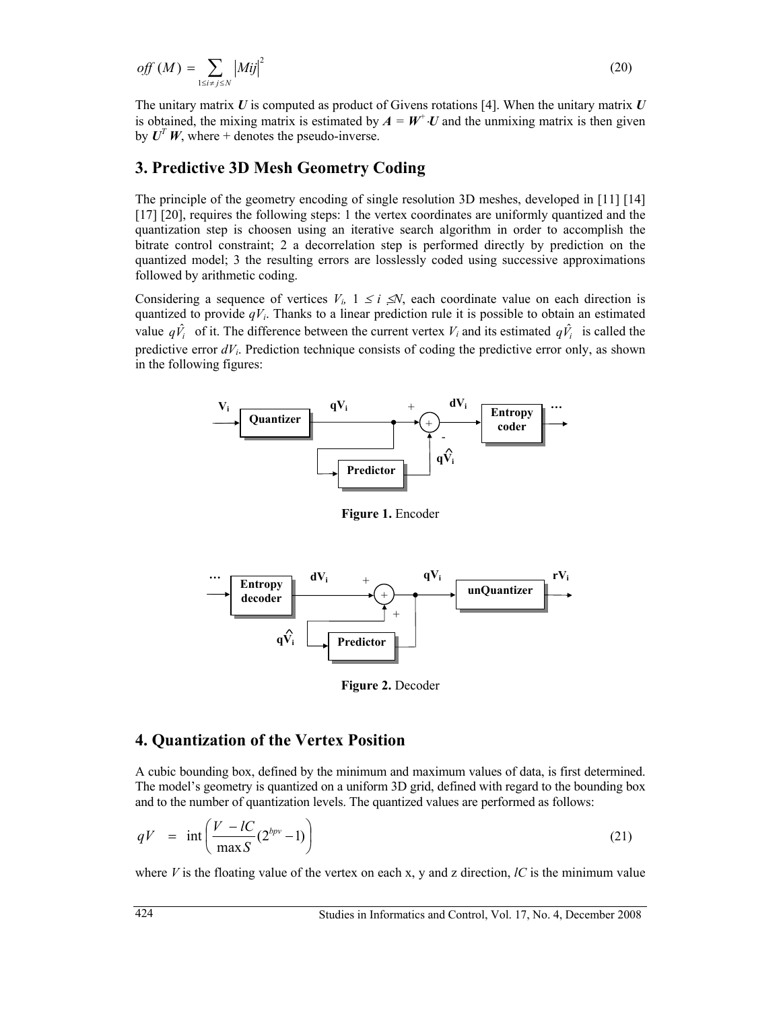$$
off (M) = \sum_{1 \le i \ne j \le N} |Mij|^2 \tag{20}
$$

The unitary matrix *U* is computed as product of Givens rotations [4]. When the unitary matrix *U* is obtained, the mixing matrix is estimated by  $A = W^+ \cdot U$  and the unmixing matrix is then given by  $U^T W$ , where + denotes the pseudo-inverse.

## **3. Predictive 3D Mesh Geometry Coding**

The principle of the geometry encoding of single resolution 3D meshes, developed in [11] [14] [17] [20], requires the following steps: 1 the vertex coordinates are uniformly quantized and the quantization step is choosen using an iterative search algorithm in order to accomplish the bitrate control constraint; 2 a decorrelation step is performed directly by prediction on the quantized model; 3 the resulting errors are losslessly coded using successive approximations followed by arithmetic coding.

Considering a sequence of vertices  $V_i$ ,  $1 \le i \le N$ , each coordinate value on each direction is quantized to provide  $qV_i$ . Thanks to a linear prediction rule it is possible to obtain an estimated value  $q\hat{V}_i$  of it. The difference between the current vertex  $V_i$  and its estimated  $q\hat{V}_i$  is called the predictive error  $dV_i$ . Prediction technique consists of coding the predictive error only, as shown in the following figures:



**Figure 1.** Encoder



**Figure 2.** Decoder

## **4. Quantization of the Vertex Position**

A cubic bounding box, defined by the minimum and maximum values of data, is first determined. The model's geometry is quantized on a uniform 3D grid, defined with regard to the bounding box and to the number of quantization levels. The quantized values are performed as follows:

$$
qV = \inf \left( \frac{V - lC}{\max S} (2^{bpv} - 1) \right) \tag{21}
$$

where  $V$  is the floating value of the vertex on each x, y and z direction,  $\ell C$  is the minimum value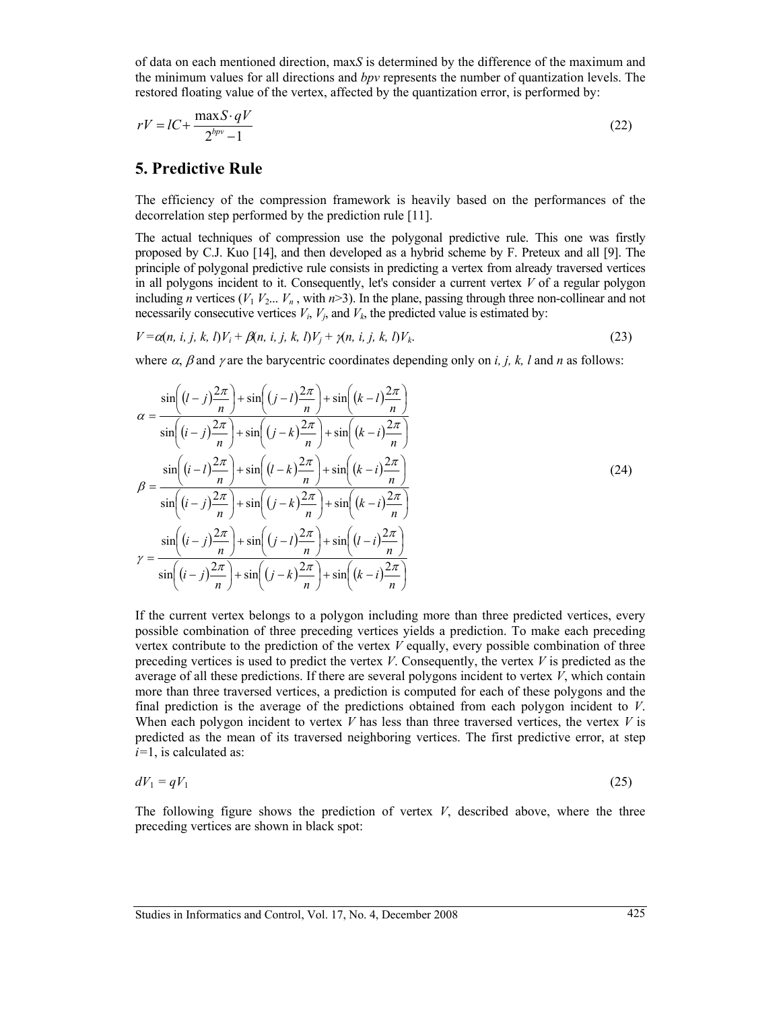of data on each mentioned direction, max*S* is determined by the difference of the maximum and the minimum values for all directions and *bpv* represents the number of quantization levels. The restored floating value of the vertex, affected by the quantization error, is performed by:

$$
rV = lC + \frac{\max S \cdot qV}{2^{bp} - 1} \tag{22}
$$

### **5. Predictive Rule**

The efficiency of the compression framework is heavily based on the performances of the decorrelation step performed by the prediction rule [11].

The actual techniques of compression use the polygonal predictive rule. This one was firstly proposed by C.J. Kuo [14], and then developed as a hybrid scheme by F. Preteux and all [9]. The principle of polygonal predictive rule consists in predicting a vertex from already traversed vertices in all polygons incident to it. Consequently, let's consider a current vertex  $V$  of a regular polygon including *n* vertices ( $V_1 V_2... V_n$ , with  $n > 3$ ). In the plane, passing through three non-collinear and not necessarily consecutive vertices  $V_i$ ,  $V_j$ , and  $V_k$ , the predicted value is estimated by:

$$
V = \alpha(n, i, j, k, l)V_i + \beta(n, i, j, k, l)V_j + \gamma(n, i, j, k, l)V_k.
$$
\n(23)

where  $\alpha$ ,  $\beta$  and  $\gamma$  are the barycentric coordinates depending only on *i, j, k, l* and *n* as follows:

$$
\alpha = \frac{\sin\left((l-j)\frac{2\pi}{n}\right) + \sin\left((j-l)\frac{2\pi}{n}\right) + \sin\left((k-l)\frac{2\pi}{n}\right)}{\sin\left((i-j)\frac{2\pi}{n}\right) + \sin\left((j-k)\frac{2\pi}{n}\right) + \sin\left((k-i)\frac{2\pi}{n}\right)}
$$
\n
$$
\beta = \frac{\sin\left((i-l)\frac{2\pi}{n}\right) + \sin\left((l-k)\frac{2\pi}{n}\right) + \sin\left((k-i)\frac{2\pi}{n}\right)}{\sin\left((i-j)\frac{2\pi}{n}\right) + \sin\left((j-k)\frac{2\pi}{n}\right) + \sin\left((k-i)\frac{2\pi}{n}\right)}
$$
\n
$$
\gamma = \frac{\sin\left((i-j)\frac{2\pi}{n}\right) + \sin\left((j-l)\frac{2\pi}{n}\right) + \sin\left((l-i)\frac{2\pi}{n}\right)}{\sin\left((i-j)\frac{2\pi}{n}\right) + \sin\left((j-k)\frac{2\pi}{n}\right) + \sin\left((k-i)\frac{2\pi}{n}\right)}
$$
\n(24)

If the current vertex belongs to a polygon including more than three predicted vertices, every possible combination of three preceding vertices yields a prediction. To make each preceding vertex contribute to the prediction of the vertex *V* equally, every possible combination of three preceding vertices is used to predict the vertex *V*. Consequently, the vertex *V* is predicted as the average of all these predictions. If there are several polygons incident to vertex *V*, which contain more than three traversed vertices, a prediction is computed for each of these polygons and the final prediction is the average of the predictions obtained from each polygon incident to *V*. When each polygon incident to vertex *V* has less than three traversed vertices, the vertex *V* is predicted as the mean of its traversed neighboring vertices. The first predictive error, at step *i=*1, is calculated as:

$$
dV_1 = qV_1 \tag{25}
$$

The following figure shows the prediction of vertex  $V$ , described above, where the three preceding vertices are shown in black spot: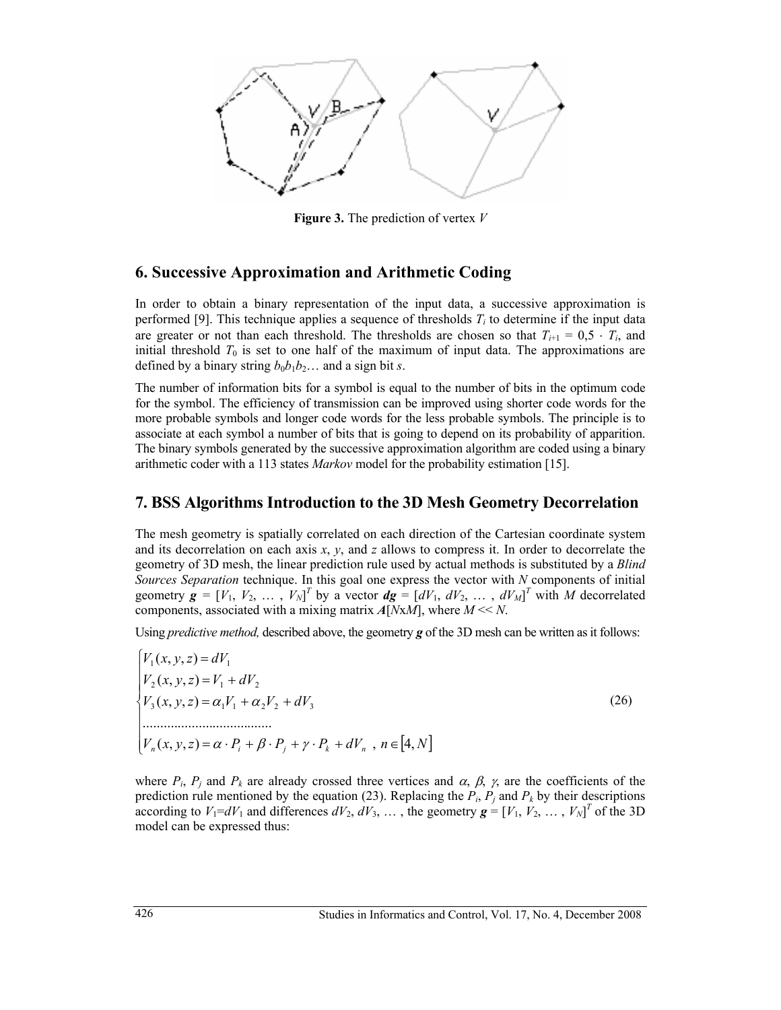

**Figure 3.** The prediction of vertex *V* 

## **6. Successive Approximation and Arithmetic Coding**

In order to obtain a binary representation of the input data, a successive approximation is performed [9]. This technique applies a sequence of thresholds  $T_i$  to determine if the input data are greater or not than each threshold. The thresholds are chosen so that  $T_{i+1} = 0.5 \cdot T_i$ , and initial threshold  $T_0$  is set to one half of the maximum of input data. The approximations are defined by a binary string  $b_0b_1b_2...$  and a sign bit *s*.

The number of information bits for a symbol is equal to the number of bits in the optimum code for the symbol. The efficiency of transmission can be improved using shorter code words for the more probable symbols and longer code words for the less probable symbols. The principle is to associate at each symbol a number of bits that is going to depend on its probability of apparition. The binary symbols generated by the successive approximation algorithm are coded using a binary arithmetic coder with a 113 states *Markov* model for the probability estimation [15].

## **7. BSS Algorithms Introduction to the 3D Mesh Geometry Decorrelation**

The mesh geometry is spatially correlated on each direction of the Cartesian coordinate system and its decorrelation on each axis *x*, *y*, and *z* allows to compress it. In order to decorrelate the geometry of 3D mesh, the linear prediction rule used by actual methods is substituted by a *Blind Sources Separation* technique. In this goal one express the vector with *N* components of initial geometry  $\mathbf{g} = [V_1, V_2, \dots, V_N]^T$  by a vector  $\mathbf{dg} = [dV_1, dV_2, \dots, dV_M]^T$  with *M* decorrelated components, associated with a mixing matrix *A*[*N*x*M*], where *M* << *N*.

Using *predictive method,* described above, the geometry *g* of the 3D mesh can be written as it follows:

 $\left[ V_n(x, y, z) = \alpha \cdot P_i + \beta \cdot P_j + \gamma \cdot P_k + dV_n \right], n \in [4, N]$  .....................................  $\mathbf{I}$  $\mathbf{I}$  $V_2(x, y, z) = V_1 + dV_2$  $\left\{ V_3(x, y, z) = \alpha_1 V_1 + \alpha_2 V_2 + dV_3 \right\}$  (26)  $V_1(x, y, z) = dV_1$ 

where  $P_i$ ,  $P_j$  and  $P_k$  are already crossed three vertices and  $\alpha$ ,  $\beta$ ,  $\gamma$ , are the coefficients of the prediction rule mentioned by the equation (23). Replacing the  $P_i$ ,  $P_j$  and  $P_k$  by their descriptions according to  $V_1 = dV_1$  and differences  $dV_2$ ,  $dV_3$ , ..., the geometry  $\mathbf{g} = [V_1, V_2, \dots, V_N]^T$  of the 3D model can be expressed thus: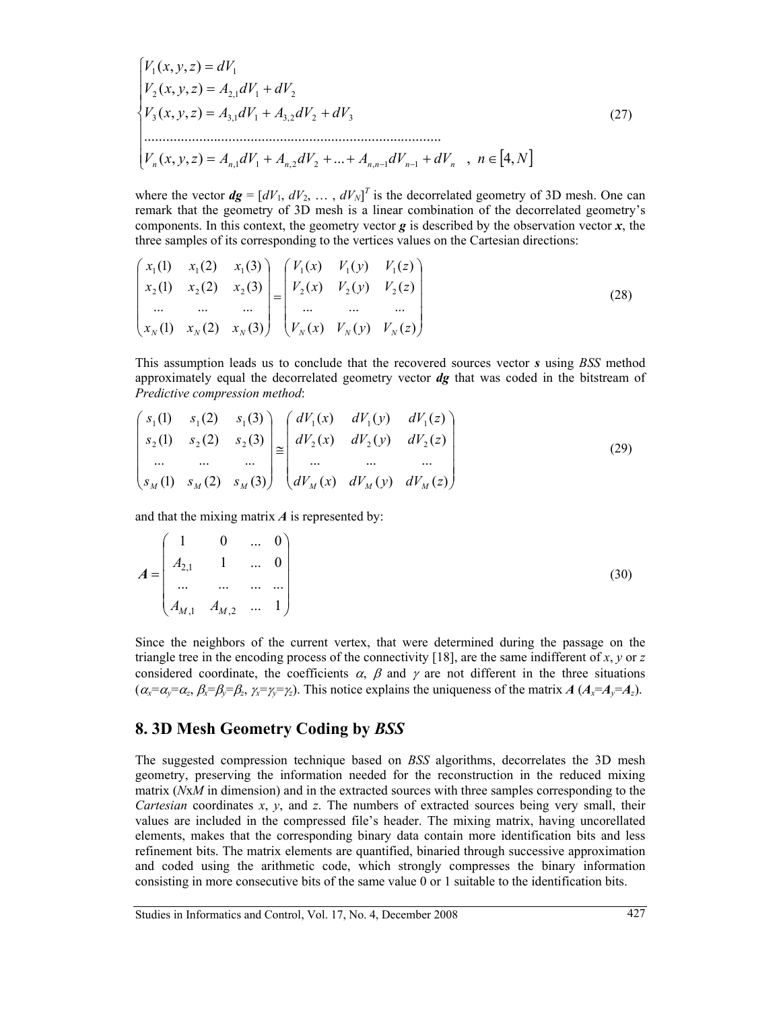$$
\begin{cases}\nV_1(x, y, z) = dV_1 \\
V_2(x, y, z) = A_{2,1}dV_1 + dV_2 \\
V_3(x, y, z) = A_{3,1}dV_1 + A_{3,2}dV_2 + dV_3\n\end{cases}
$$
\n
$$
\begin{cases}\n27) \\
W_n(x, y, z) = A_{n,1}dV_1 + A_{n,2}dV_2 + \dots + A_{n,n-1}dV_{n-1} + dV_n, \quad n \in [4, N]\n\end{cases}
$$
\n
$$
(27)
$$

where the vector  $dg = [dV_1, dV_2, \dots, dV_N]^T$  is the decorrelated geometry of 3D mesh. One can remark that the geometry of 3D mesh is a linear combination of the decorrelated geometry's components. In this context, the geometry vector  $g$  is described by the observation vector  $x$ , the three samples of its corresponding to the vertices values on the Cartesian directions:

$$
\begin{pmatrix} x_1(1) & x_1(2) & x_1(3) \\ x_2(1) & x_2(2) & x_2(3) \\ \dots & \dots & \dots \\ x_N(1) & x_N(2) & x_N(3) \end{pmatrix} = \begin{pmatrix} V_1(x) & V_1(y) & V_1(z) \\ V_2(x) & V_2(y) & V_2(z) \\ \dots & \dots & \dots \\ V_N(x) & V_N(y) & V_N(z) \end{pmatrix}
$$
(28)

This assumption leads us to conclude that the recovered sources vector *s* using *BSS* method approximately equal the decorrelated geometry vector *dg* that was coded in the bitstream of *Predictive compression method*:

$$
\begin{pmatrix}\ns_1(1) & s_1(2) & s_1(3) \\
s_2(1) & s_2(2) & s_2(3) \\
\vdots & \vdots & \ddots & \vdots \\
s_M(1) & s_M(2) & s_M(3)\n\end{pmatrix}\n\cong\n\begin{pmatrix}\ndV_1(x) & dV_1(y) & dV_1(z) \\
dV_2(x) & dV_2(y) & dV_2(z) \\
\vdots & \vdots & \ddots & \vdots \\
dV_M(x) & dV_M(y) & dV_M(z)\n\end{pmatrix}
$$
\n(29)

and that the mixing matrix *A* is represented by:

$$
A = \begin{pmatrix} 1 & 0 & \dots & 0 \\ A_{2,1} & 1 & \dots & 0 \\ \dots & \dots & \dots & \dots \\ A_{M,1} & A_{M,2} & \dots & 1 \end{pmatrix}
$$
 (30)

Since the neighbors of the current vertex, that were determined during the passage on the triangle tree in the encoding process of the connectivity [18], are the same indifferent of *x*, *y* or *z* considered coordinate, the coefficients  $\alpha$ ,  $\beta$  and  $\gamma$  are not different in the three situations  $(\alpha_x = \alpha_y = \alpha_z, \beta_x = \beta_y = \beta_z, \gamma_x = \gamma_z = \gamma_z)$ . This notice explains the uniqueness of the matrix *A* ( $A_x = A_y = A_z$ ).

#### **8. 3D Mesh Geometry Coding by** *BSS*

The suggested compression technique based on *BSS* algorithms, decorrelates the 3D mesh geometry, preserving the information needed for the reconstruction in the reduced mixing matrix (*N*x*M* in dimension) and in the extracted sources with three samples corresponding to the *Cartesian* coordinates *x*, *y*, and *z*. The numbers of extracted sources being very small, their values are included in the compressed file's header. The mixing matrix, having uncorellated elements, makes that the corresponding binary data contain more identification bits and less refinement bits. The matrix elements are quantified, binaried through successive approximation and coded using the arithmetic code, which strongly compresses the binary information consisting in more consecutive bits of the same value 0 or 1 suitable to the identification bits.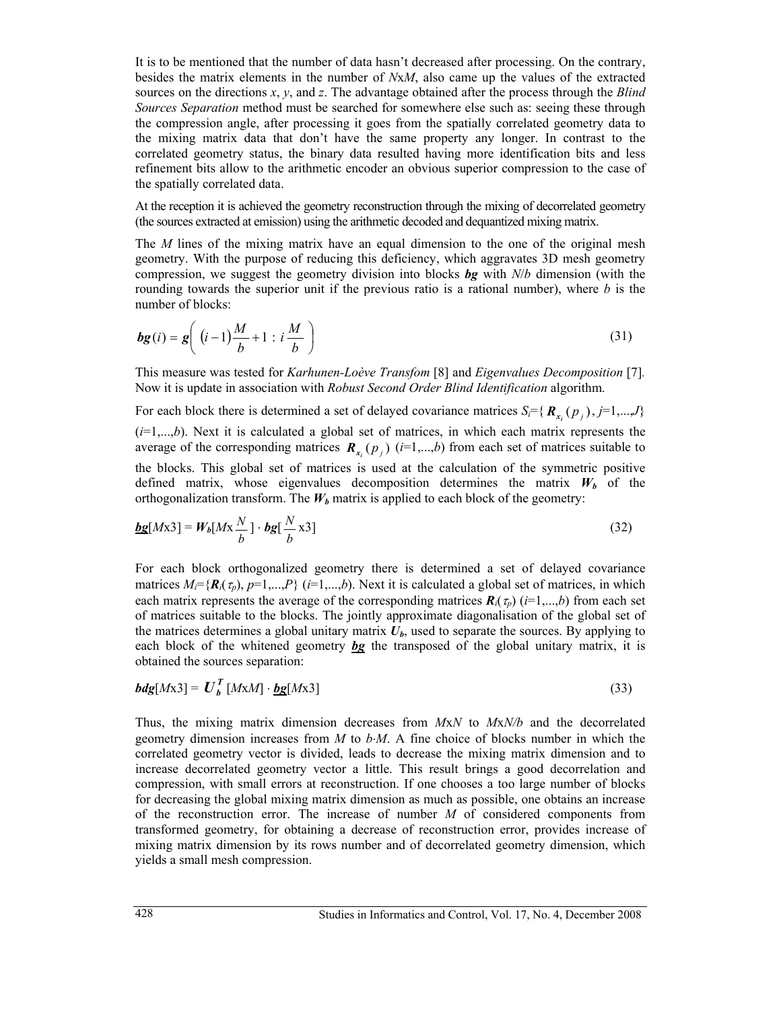It is to be mentioned that the number of data hasn't decreased after processing. On the contrary, besides the matrix elements in the number of *N*x*M*, also came up the values of the extracted sources on the directions *x*, *y*, and *z*. The advantage obtained after the process through the *Blind Sources Separation* method must be searched for somewhere else such as: seeing these through the compression angle, after processing it goes from the spatially correlated geometry data to the mixing matrix data that don't have the same property any longer. In contrast to the correlated geometry status, the binary data resulted having more identification bits and less refinement bits allow to the arithmetic encoder an obvious superior compression to the case of the spatially correlated data.

At the reception it is achieved the geometry reconstruction through the mixing of decorrelated geometry (the sources extracted at emission) using the arithmetic decoded and dequantized mixing matrix.

The *M* lines of the mixing matrix have an equal dimension to the one of the original mesh geometry. With the purpose of reducing this deficiency, which aggravates 3D mesh geometry compression, we suggest the geometry division into blocks *bg* with *N*/*b* dimension (with the rounding towards the superior unit if the previous ratio is a rational number), where *b* is the number of blocks:

$$
bg(i) = g\left((i-1)\frac{M}{b} + 1 : i\frac{M}{b}\right)
$$
\n(31)

This measure was tested for *Karhunen-Loève Transfom* [8] and *Eigenvalues Decomposition* [7]*.* Now it is update in association with *Robust Second Order Blind Identification* algorithm.

For each block there is determined a set of delayed covariance matrices  $S_i = \{R_{x_i}(p_i), j=1,...,J\}$ (*i*=1,...,*b*). Next it is calculated a global set of matrices, in which each matrix represents the average of the corresponding matrices  $\mathbf{R}_{x}$  ( $p_i$ ) ( $i=1,...,b$ ) from each set of matrices suitable to the blocks. This global set of matrices is used at the calculation of the symmetric positive defined matrix, whose eigenvalues decomposition determines the matrix  $W_b$  of the orthogonalization transform. The  $W_b$  matrix is applied to each block of the geometry:

$$
\underline{\mathit{bg}}[Mx3] = W_b[Mx\frac{N}{b}] \cdot \mathit{bg}[\frac{N}{b}x3]
$$
\n(32)

For each block orthogonalized geometry there is determined a set of delayed covariance matrices  $M_i = \{R_i(\tau_i), p=1,...,P\}$  ( $i=1,...,b$ ). Next it is calculated a global set of matrices, in which each matrix represents the average of the corresponding matrices  $\mathbf{R}_i(\tau_p)$  (*i*=1,...,*b*) from each set of matrices suitable to the blocks. The jointly approximate diagonalisation of the global set of the matrices determines a global unitary matrix  $U<sub>b</sub>$ , used to separate the sources. By applying to each block of the whitened geometry *bg* the transposed of the global unitary matrix, it is obtained the sources separation:

$$
bdg[Mx3] = UbT [MxM] \cdot \underline{bg}[Mx3]
$$
 (33)

Thus, the mixing matrix dimension decreases from *M*x*N* to *M*x*N/b* and the decorrelated geometry dimension increases from *M* to *b*⋅*M*. A fine choice of blocks number in which the correlated geometry vector is divided, leads to decrease the mixing matrix dimension and to increase decorrelated geometry vector a little. This result brings a good decorrelation and compression, with small errors at reconstruction. If one chooses a too large number of blocks for decreasing the global mixing matrix dimension as much as possible, one obtains an increase of the reconstruction error. The increase of number *M* of considered components from transformed geometry, for obtaining a decrease of reconstruction error, provides increase of mixing matrix dimension by its rows number and of decorrelated geometry dimension, which yields a small mesh compression.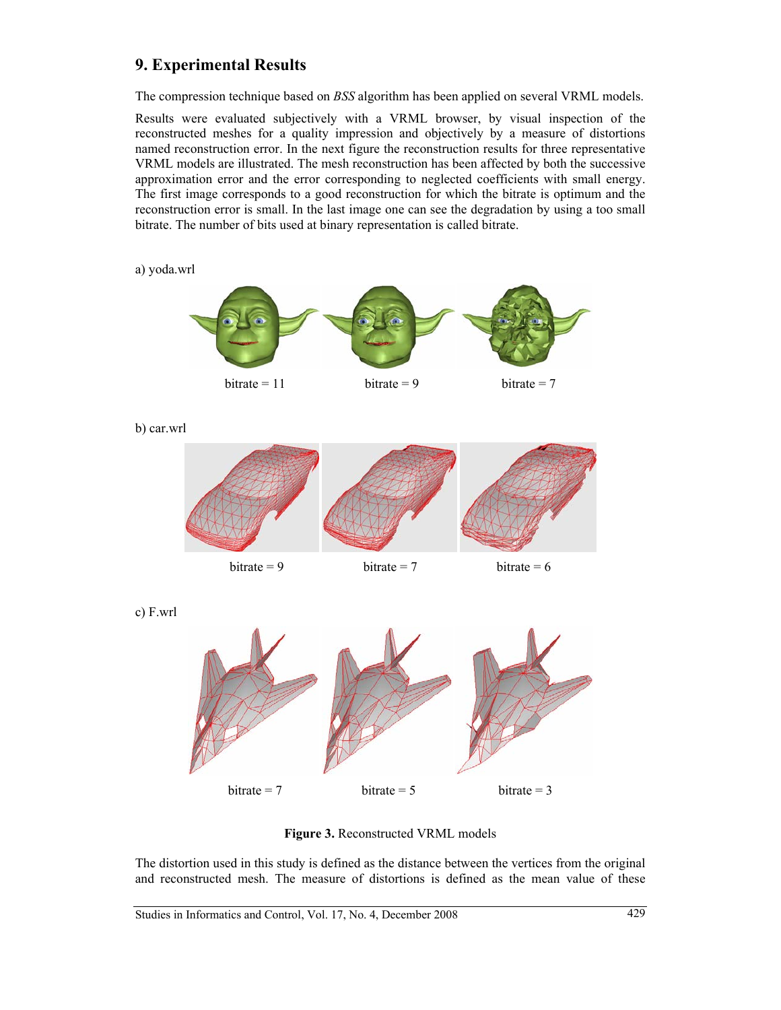# **9. Experimental Results**

The compression technique based on *BSS* algorithm has been applied on several VRML models.

Results were evaluated subjectively with a VRML browser, by visual inspection of the reconstructed meshes for a quality impression and objectively by a measure of distortions named reconstruction error. In the next figure the reconstruction results for three representative VRML models are illustrated. The mesh reconstruction has been affected by both the successive approximation error and the error corresponding to neglected coefficients with small energy. The first image corresponds to a good reconstruction for which the bitrate is optimum and the reconstruction error is small. In the last image one can see the degradation by using a too small bitrate. The number of bits used at binary representation is called bitrate.

a) yoda.wrl



c) F.wrl



**Figure 3.** Reconstructed VRML models

The distortion used in this study is defined as the distance between the vertices from the original and reconstructed mesh. The measure of distortions is defined as the mean value of these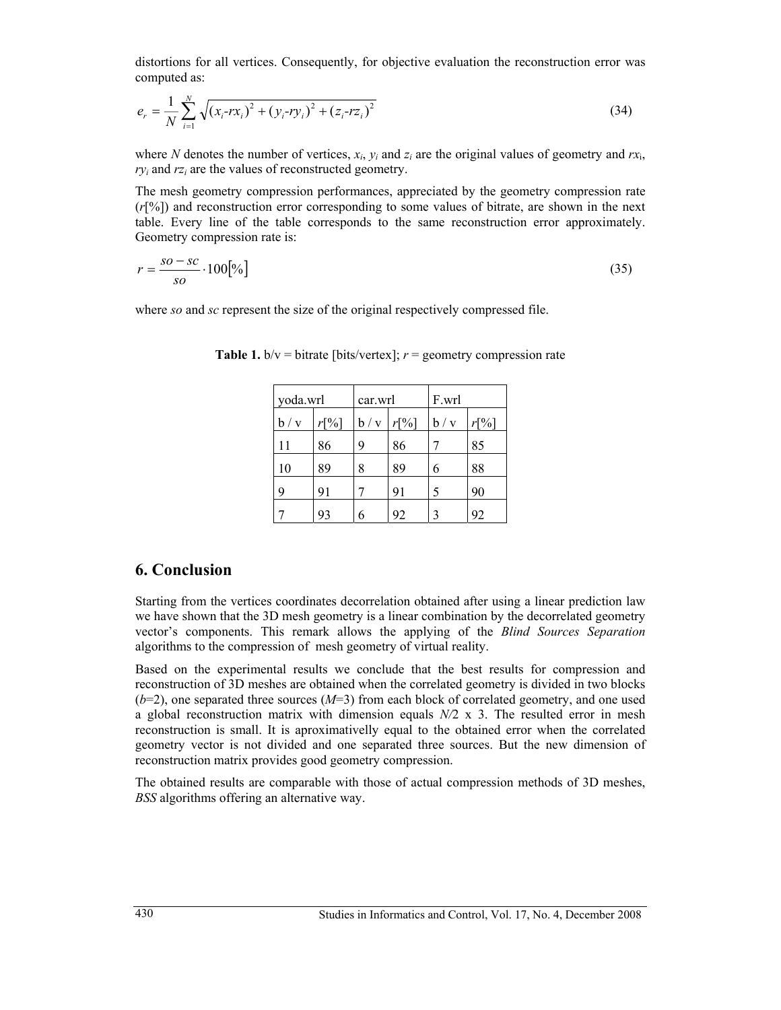distortions for all vertices. Consequently, for objective evaluation the reconstruction error was computed as:

$$
e_r = \frac{1}{N} \sum_{i=1}^{N} \sqrt{(x_i - rx_i)^2 + (y_i - ry_i)^2 + (z_i - rz_i)^2}
$$
 (34)

where *N* denotes the number of vertices,  $x_i$ ,  $y_i$  and  $z_i$  are the original values of geometry and  $rx_i$ ,  $ry_i$  and  $rz_i$  are the values of reconstructed geometry.

The mesh geometry compression performances, appreciated by the geometry compression rate (*r*[%]) and reconstruction error corresponding to some values of bitrate, are shown in the next table. Every line of the table corresponds to the same reconstruction error approximately. Geometry compression rate is:

$$
r = \frac{so - sc}{so} \cdot 100\left[\% \right] \tag{35}
$$

where *so* and *sc* represent the size of the original respectively compressed file.

| yoda.wrl |      | car.wrl |         | F.wrl |      |
|----------|------|---------|---------|-------|------|
| b / v    | r[%] | b/v     | $r[\%]$ | b/v   | r[%] |
| 11       | 86   | 9       | 86      |       | 85   |
| 10       | 89   | 8       | 89      | 6     | 88   |
| 9        | 91   |         | 91      | 5     | 90   |
|          | 93   |         | 92      | 3     | 92   |

**Table 1.**  $b/v = \text{bitrate}$  [bits/vertex];  $r = \text{geometry}$  compression rate

## **6. Conclusion**

Starting from the vertices coordinates decorrelation obtained after using a linear prediction law we have shown that the 3D mesh geometry is a linear combination by the decorrelated geometry vector's components. This remark allows the applying of the *Blind Sources Separation* algorithms to the compression of mesh geometry of virtual reality.

Based on the experimental results we conclude that the best results for compression and reconstruction of 3D meshes are obtained when the correlated geometry is divided in two blocks (*b*=2), one separated three sources (*M*=3) from each block of correlated geometry, and one used a global reconstruction matrix with dimension equals *N/*2 x 3. The resulted error in mesh reconstruction is small. It is aproximativelly equal to the obtained error when the correlated geometry vector is not divided and one separated three sources. But the new dimension of reconstruction matrix provides good geometry compression.

The obtained results are comparable with those of actual compression methods of 3D meshes, *BSS* algorithms offering an alternative way.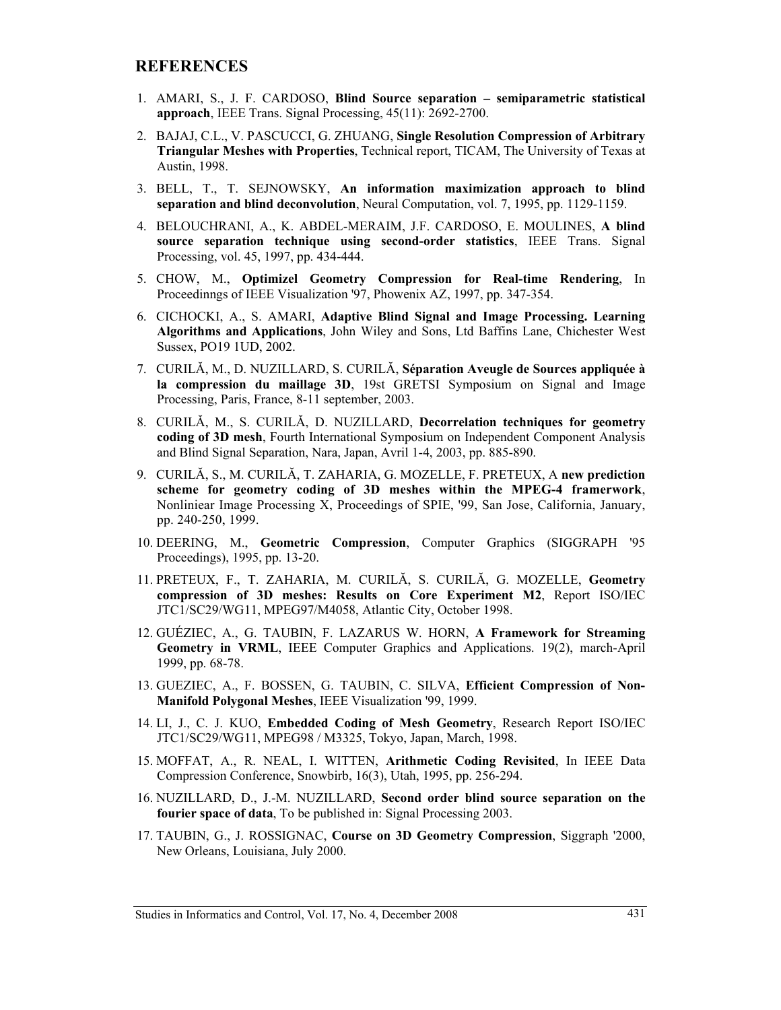### **REFERENCES**

- 1. AMARI, S., J. F. CARDOSO, **Blind Source separation semiparametric statistical approach**, IEEE Trans. Signal Processing, 45(11): 2692-2700.
- 2. BAJAJ, C.L., V. PASCUCCI, G. ZHUANG, **Single Resolution Compression of Arbitrary Triangular Meshes with Properties**, Technical report, TICAM, The University of Texas at Austin, 1998.
- 3. BELL, T., T. SEJNOWSKY, **An information maximization approach to blind separation and blind deconvolution**, Neural Computation, vol. 7, 1995, pp. 1129-1159.
- 4. BELOUCHRANI, A., K. ABDEL-MERAIM, J.F. CARDOSO, E. MOULINES, **A blind source separation technique using second-order statistics**, IEEE Trans. Signal Processing, vol. 45, 1997, pp. 434-444.
- 5. CHOW, M., **Optimizel Geometry Compression for Real-time Rendering**, In Proceedinngs of IEEE Visualization '97, Phowenix AZ, 1997, pp. 347-354.
- 6. CICHOCKI, A., S. AMARI, **Adaptive Blind Signal and Image Processing. Learning Algorithms and Applications**, John Wiley and Sons, Ltd Baffins Lane, Chichester West Sussex, PO19 1UD, 2002.
- 7. CURILĂ, M., D. NUZILLARD, S. CURILĂ, **Séparation Aveugle de Sources appliquée à la compression du maillage 3D**, 19st GRETSI Symposium on Signal and Image Processing, Paris, France, 8-11 september, 2003.
- 8. CURILĂ, M., S. CURILĂ, D. NUZILLARD, **Decorrelation techniques for geometry coding of 3D mesh**, Fourth International Symposium on Independent Component Analysis and Blind Signal Separation, Nara, Japan, Avril 1-4, 2003, pp. 885-890.
- 9. CURILĂ, S., M. CURILĂ, T. ZAHARIA, G. MOZELLE, F. PRETEUX, A **new prediction scheme for geometry coding of 3D meshes within the MPEG-4 framerwork**, Nonliniear Image Processing X, Proceedings of SPIE, '99, San Jose, California, January, pp. 240-250, 1999.
- 10. DEERING, M., **Geometric Compression**, Computer Graphics (SIGGRAPH '95 Proceedings), 1995, pp. 13-20.
- 11. PRETEUX, F., T. ZAHARIA, M. CURILĂ, S. CURILĂ, G. MOZELLE, **Geometry compression of 3D meshes: Results on Core Experiment M2**, Report ISO/IEC JTC1/SC29/WG11, MPEG97/M4058, Atlantic City, October 1998.
- 12. GUÉZIEC, A., G. TAUBIN, F. LAZARUS W. HORN, **A Framework for Streaming Geometry in VRML**, IEEE Computer Graphics and Applications. 19(2), march-April 1999, pp. 68-78.
- 13. GUEZIEC, A., F. BOSSEN, G. TAUBIN, C. SILVA, **Efficient Compression of Non-Manifold Polygonal Meshes**, IEEE Visualization '99, 1999.
- 14. LI, J., C. J. KUO, **Embedded Coding of Mesh Geometry**, Research Report ISO/IEC JTC1/SC29/WG11, MPEG98 / M3325, Tokyo, Japan, March, 1998.
- 15. MOFFAT, A., R. NEAL, I. WITTEN, **Arithmetic Coding Revisited**, In IEEE Data Compression Conference, Snowbirb, 16(3), Utah, 1995, pp. 256-294.
- 16. NUZILLARD, D., J.-M. NUZILLARD, **Second order blind source separation on the fourier space of data**, To be published in: Signal Processing 2003.
- 17. TAUBIN, G., J. ROSSIGNAC, **Course on 3D Geometry Compression**, Siggraph '2000, New Orleans, Louisiana, July 2000.